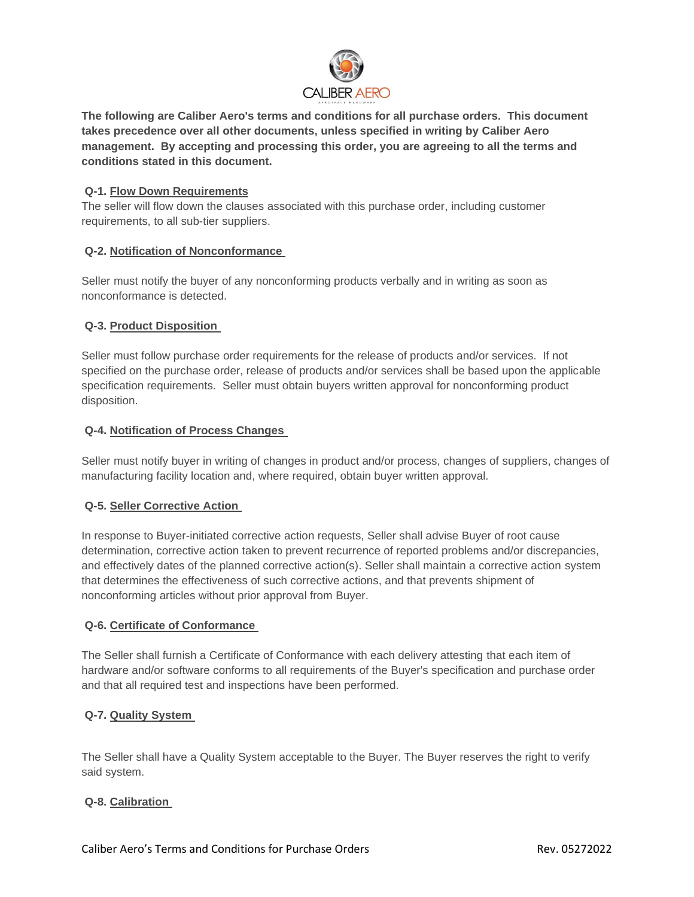

**The following are Caliber Aero's terms and conditions for all purchase orders. This document takes precedence over all other documents, unless specified in writing by Caliber Aero management. By accepting and processing this order, you are agreeing to all the terms and conditions stated in this document.**

### **Q-1. Flow Down Requirements**

The seller will flow down the clauses associated with this purchase order, including customer requirements, to all sub-tier suppliers.

### **Q-2. Notification of Nonconformance**

Seller must notify the buyer of any nonconforming products verbally and in writing as soon as nonconformance is detected.

## **Q-3. Product Disposition**

Seller must follow purchase order requirements for the release of products and/or services. If not specified on the purchase order, release of products and/or services shall be based upon the applicable specification requirements. Seller must obtain buyers written approval for nonconforming product disposition.

### **Q-4. Notification of Process Changes**

Seller must notify buyer in writing of changes in product and/or process, changes of suppliers, changes of manufacturing facility location and, where required, obtain buyer written approval.

### **Q-5. Seller Corrective Action**

In response to Buyer-initiated corrective action requests, Seller shall advise Buyer of root cause determination, corrective action taken to prevent recurrence of reported problems and/or discrepancies, and effectively dates of the planned corrective action(s). Seller shall maintain a corrective action system that determines the effectiveness of such corrective actions, and that prevents shipment of nonconforming articles without prior approval from Buyer.

### **Q-6. Certificate of Conformance**

The Seller shall furnish a Certificate of Conformance with each delivery attesting that each item of hardware and/or software conforms to all requirements of the Buyer's specification and purchase order and that all required test and inspections have been performed.

## **Q-7. Quality System**

The Seller shall have a Quality System acceptable to the Buyer. The Buyer reserves the right to verify said system.

### **Q-8. Calibration**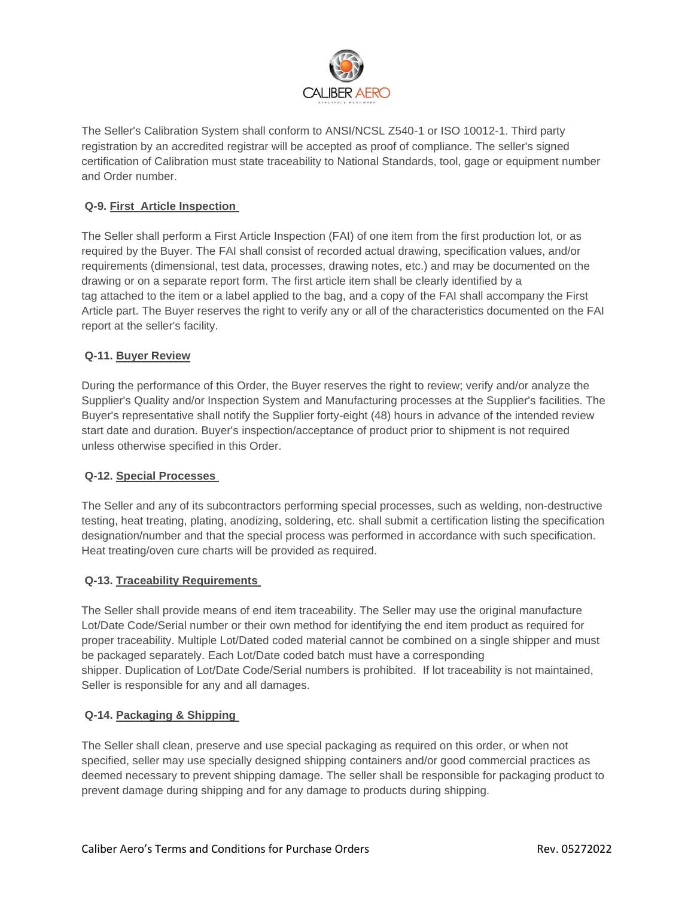

The Seller's Calibration System shall conform to ANSI/NCSL Z540-1 or ISO 10012-1. Third party registration by an accredited registrar will be accepted as proof of compliance. The seller's signed certification of Calibration must state traceability to National Standards, tool, gage or equipment number and Order number.

# **Q-9. First Article Inspection**

The Seller shall perform a First Article Inspection (FAI) of one item from the first production lot, or as required by the Buyer. The FAI shall consist of recorded actual drawing, specification values, and/or requirements (dimensional, test data, processes, drawing notes, etc.) and may be documented on the drawing or on a separate report form. The first article item shall be clearly identified by a tag attached to the item or a label applied to the bag, and a copy of the FAI shall accompany the First Article part. The Buyer reserves the right to verify any or all of the characteristics documented on the FAI report at the seller's facility.

## **Q-11. Buyer Review**

During the performance of this Order, the Buyer reserves the right to review; verify and/or analyze the Supplier's Quality and/or Inspection System and Manufacturing processes at the Supplier's facilities. The Buyer's representative shall notify the Supplier forty-eight (48) hours in advance of the intended review start date and duration. Buyer's inspection/acceptance of product prior to shipment is not required unless otherwise specified in this Order.

## **Q-12. Special Processes**

The Seller and any of its subcontractors performing special processes, such as welding, non-destructive testing, heat treating, plating, anodizing, soldering, etc. shall submit a certification listing the specification designation/number and that the special process was performed in accordance with such specification. Heat treating/oven cure charts will be provided as required.

### **Q-13. Traceability Requirements**

The Seller shall provide means of end item traceability. The Seller may use the original manufacture Lot/Date Code/Serial number or their own method for identifying the end item product as required for proper traceability. Multiple Lot/Dated coded material cannot be combined on a single shipper and must be packaged separately. Each Lot/Date coded batch must have a corresponding shipper. Duplication of Lot/Date Code/Serial numbers is prohibited. If lot traceability is not maintained, Seller is responsible for any and all damages.

### **Q-14. Packaging & Shipping**

The Seller shall clean, preserve and use special packaging as required on this order, or when not specified, seller may use specially designed shipping containers and/or good commercial practices as deemed necessary to prevent shipping damage. The seller shall be responsible for packaging product to prevent damage during shipping and for any damage to products during shipping.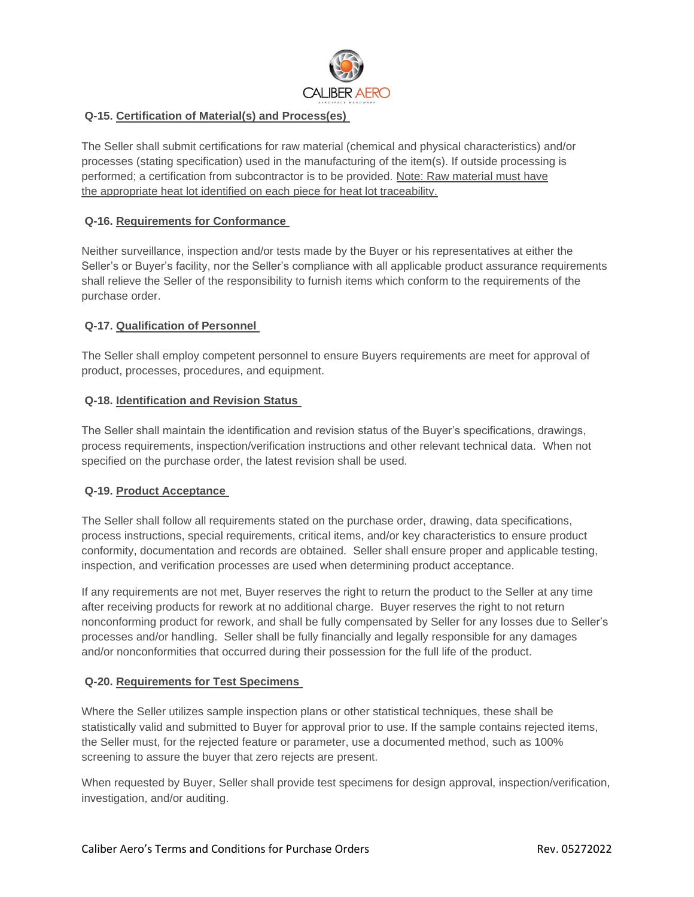

# **Q-15. Certification of Material(s) and Process(es)**

The Seller shall submit certifications for raw material (chemical and physical characteristics) and/or processes (stating specification) used in the manufacturing of the item(s). If outside processing is performed; a certification from subcontractor is to be provided. Note: Raw material must have the appropriate heat lot identified on each piece for heat lot traceability.

## **Q-16. Requirements for Conformance**

Neither surveillance, inspection and/or tests made by the Buyer or his representatives at either the Seller's or Buyer's facility, nor the Seller's compliance with all applicable product assurance requirements shall relieve the Seller of the responsibility to furnish items which conform to the requirements of the purchase order.

### **Q-17. Qualification of Personnel**

The Seller shall employ competent personnel to ensure Buyers requirements are meet for approval of product, processes, procedures, and equipment.

### **Q-18. Identification and Revision Status**

The Seller shall maintain the identification and revision status of the Buyer's specifications, drawings, process requirements, inspection/verification instructions and other relevant technical data. When not specified on the purchase order, the latest revision shall be used.

## **Q-19. Product Acceptance**

The Seller shall follow all requirements stated on the purchase order, drawing, data specifications, process instructions, special requirements, critical items, and/or key characteristics to ensure product conformity, documentation and records are obtained. Seller shall ensure proper and applicable testing, inspection, and verification processes are used when determining product acceptance.

If any requirements are not met, Buyer reserves the right to return the product to the Seller at any time after receiving products for rework at no additional charge. Buyer reserves the right to not return nonconforming product for rework, and shall be fully compensated by Seller for any losses due to Seller's processes and/or handling. Seller shall be fully financially and legally responsible for any damages and/or nonconformities that occurred during their possession for the full life of the product.

### **Q-20. Requirements for Test Specimens**

Where the Seller utilizes sample inspection plans or other statistical techniques, these shall be statistically valid and submitted to Buyer for approval prior to use. If the sample contains rejected items, the Seller must, for the rejected feature or parameter, use a documented method, such as 100% screening to assure the buyer that zero rejects are present.

When requested by Buyer, Seller shall provide test specimens for design approval, inspection/verification, investigation, and/or auditing.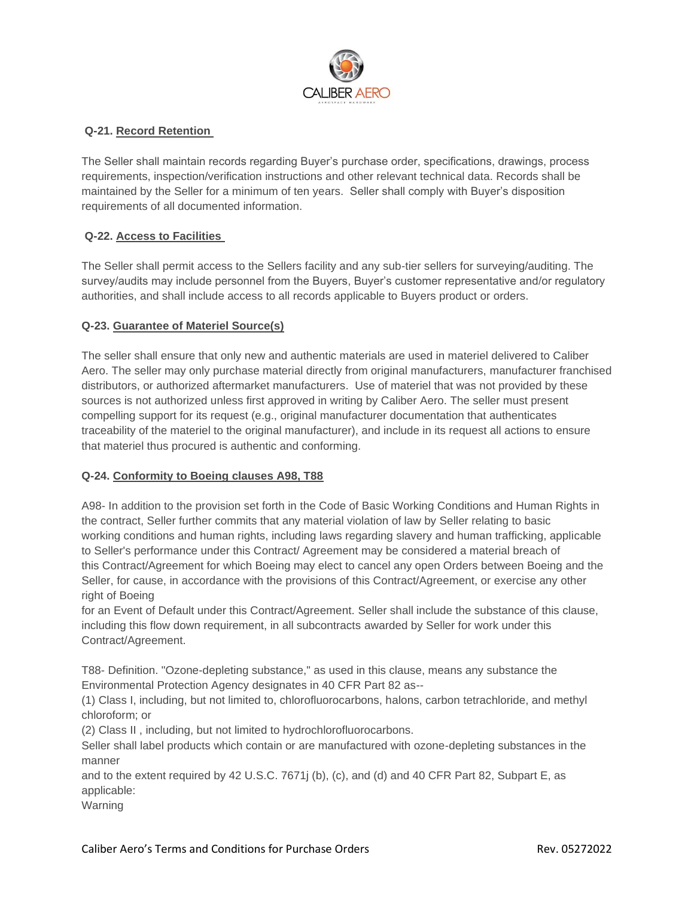

# **Q-21. Record Retention**

The Seller shall maintain records regarding Buyer's purchase order, specifications, drawings, process requirements, inspection/verification instructions and other relevant technical data. Records shall be maintained by the Seller for a minimum of ten years. Seller shall comply with Buyer's disposition requirements of all documented information.

# **Q-22. Access to Facilities**

The Seller shall permit access to the Sellers facility and any sub-tier sellers for surveying/auditing. The survey/audits may include personnel from the Buyers, Buyer's customer representative and/or regulatory authorities, and shall include access to all records applicable to Buyers product or orders.

# **Q-23. Guarantee of Materiel Source(s)**

The seller shall ensure that only new and authentic materials are used in materiel delivered to Caliber Aero. The seller may only purchase material directly from original manufacturers, manufacturer franchised distributors, or authorized aftermarket manufacturers. Use of materiel that was not provided by these sources is not authorized unless first approved in writing by Caliber Aero. The seller must present compelling support for its request (e.g., original manufacturer documentation that authenticates traceability of the materiel to the original manufacturer), and include in its request all actions to ensure that materiel thus procured is authentic and conforming.

## **Q-24. Conformity to Boeing clauses A98, T88**

A98- In addition to the provision set forth in the Code of Basic Working Conditions and Human Rights in the contract, Seller further commits that any material violation of law by Seller relating to basic working conditions and human rights, including laws regarding slavery and human trafficking, applicable to Seller's performance under this Contract/ Agreement may be considered a material breach of this Contract/Agreement for which Boeing may elect to cancel any open Orders between Boeing and the Seller, for cause, in accordance with the provisions of this Contract/Agreement, or exercise any other right of Boeing

for an Event of Default under this Contract/Agreement. Seller shall include the substance of this clause, including this flow down requirement, in all subcontracts awarded by Seller for work under this Contract/Agreement.

T88- Definition. "Ozone-depleting substance," as used in this clause, means any substance the Environmental Protection Agency designates in 40 CFR Part 82 as--

(1) Class I, including, but not limited to, chlorofluorocarbons, halons, carbon tetrachloride, and methyl chloroform; or

(2) Class II , including, but not limited to hydrochlorofluorocarbons.

Seller shall label products which contain or are manufactured with ozone-depleting substances in the manner

and to the extent required by 42 U.S.C. 7671j (b), (c), and (d) and 40 CFR Part 82, Subpart E, as applicable:

Warning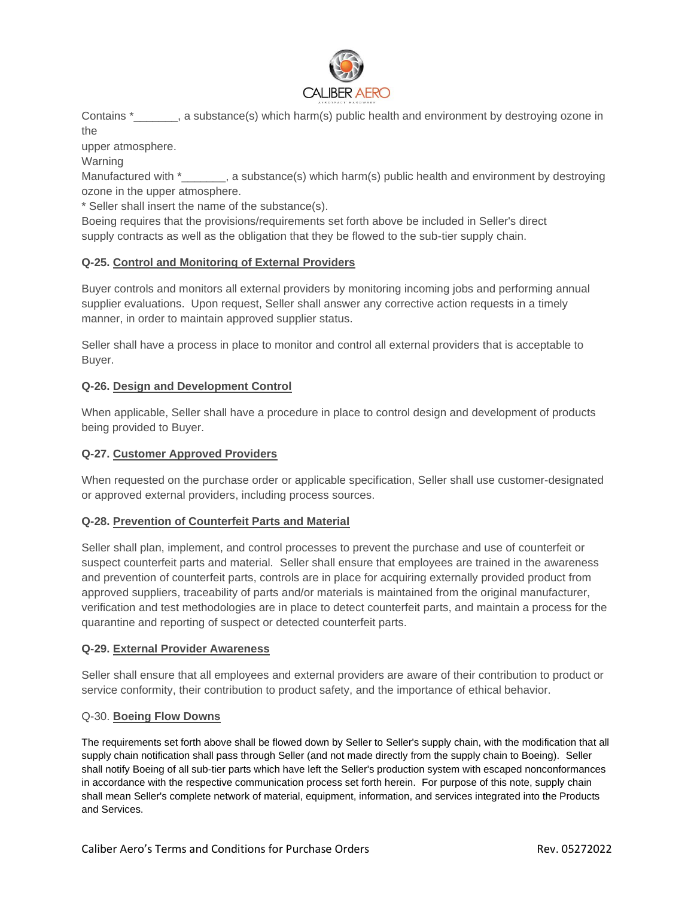

Contains \* a substance(s) which harm(s) public health and environment by destroying ozone in the

upper atmosphere.

Warning

Manufactured with  $*$ \_\_\_\_\_\_, a substance(s) which harm(s) public health and environment by destroying ozone in the upper atmosphere.

\* Seller shall insert the name of the substance(s).

Boeing requires that the provisions/requirements set forth above be included in Seller's direct supply contracts as well as the obligation that they be flowed to the sub-tier supply chain.

# **Q-25. Control and Monitoring of External Providers**

Buyer controls and monitors all external providers by monitoring incoming jobs and performing annual supplier evaluations. Upon request, Seller shall answer any corrective action requests in a timely manner, in order to maintain approved supplier status.

Seller shall have a process in place to monitor and control all external providers that is acceptable to Buyer.

# **Q-26. Design and Development Control**

When applicable, Seller shall have a procedure in place to control design and development of products being provided to Buyer.

## **Q-27. Customer Approved Providers**

When requested on the purchase order or applicable specification, Seller shall use customer-designated or approved external providers, including process sources.

## **Q-28. Prevention of Counterfeit Parts and Material**

Seller shall plan, implement, and control processes to prevent the purchase and use of counterfeit or suspect counterfeit parts and material. Seller shall ensure that employees are trained in the awareness and prevention of counterfeit parts, controls are in place for acquiring externally provided product from approved suppliers, traceability of parts and/or materials is maintained from the original manufacturer, verification and test methodologies are in place to detect counterfeit parts, and maintain a process for the quarantine and reporting of suspect or detected counterfeit parts.

## **Q-29. External Provider Awareness**

Seller shall ensure that all employees and external providers are aware of their contribution to product or service conformity, their contribution to product safety, and the importance of ethical behavior.

## Q-30. **Boeing Flow Downs**

The requirements set forth above shall be flowed down by Seller to Seller's supply chain, with the modification that all supply chain notification shall pass through Seller (and not made directly from the supply chain to Boeing). Seller shall notify Boeing of all sub-tier parts which have left the Seller's production system with escaped nonconformances in accordance with the respective communication process set forth herein. For purpose of this note, supply chain shall mean Seller's complete network of material, equipment, information, and services integrated into the Products and Services.